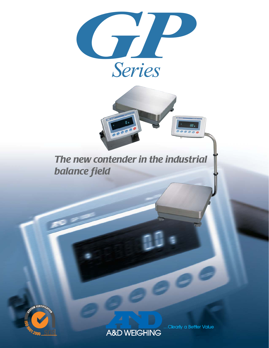



*The new contender in the industrial balance field* 



A&D WEIGHING

...Clearly a Better Value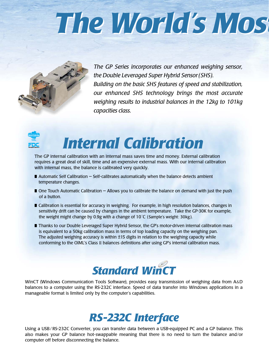# *The World's Mos The World's Most*



*The GP Series incorporates our enhanced weighing sensor, the Double Leveraged Super Hybrid Sensor(SHS). Building on the basic SHS features of speed and stabilization, our enhanced SHS technology brings the most accurate weighing results to industrial balances in the 12kg to 101kg capacities class.*



### *Internal Calibration*

The GP internal calibration with an internal mass saves time and money. External calibration requires a great deal of skill, time and an expensive external mass. With our internal calibration with internal mass, the balance is calibrated very quickly.

- $\blacksquare$  Automatic Self Calibration  $-$  Self-calibrates automatically when the balance detects ambient temperature changes.
- One Touch Automatic Calibration Allows you to calibrate the balance on demand with just the push of a button.
- Calibration is essential for accuracy in weighing. For example, in high resolution balances, changes in sensitivity drift can be caused by changes in the ambient temperature. Take the GP-30K for example, the weight might change by 0.9g with a change of 10°C (Sample's weight: 30kg).
- Thanks to our Double Leveraged Super Hybrid Sensor, the GP's motor-driven internal calibration mass is equivalent to a 50kg calibration mass in terms of top loading capacity on the weighing pan. The adjusted weighing accuracy is within  $\pm$ 15 digits in relation to the weighing capacity while conforming to the OIML's Class II balances definitions after using GP's internal calibration mass.



WinCT (Windows Communication Tools Software), provides easy transmission of weighing data from A&D balances to a computer using the RS-232C interface. Speed of data transfer into Windows applications in a manageable format is limited only by the computer's capabilities.

### *RS-232C Interface*

Using a USB/ RS-232C Converter, you can transfer data between a USB-equipped PC and a GP balance. This also makes your GP balance hot-swappable meaning that there is no need to turn the balance and/or computer off before disconnecting the balance.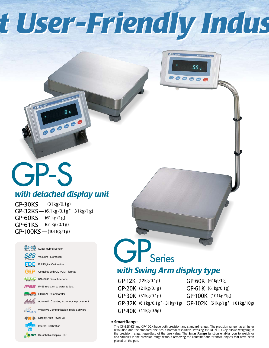# *t User-Friendly Indus t User-Friendly Indus*

**CANADARY** 

00.

 $O$  $O$  $O$  $A$ 

### GP-S *with detached display unit*

 $\frac{1}{\sqrt{1-\frac{1}{2}}\sqrt{1-\frac{1}{2}}\sqrt{1-\frac{1}{2}}\sqrt{1-\frac{1}{2}}\sqrt{1-\frac{1}{2}}\sqrt{1-\frac{1}{2}}\sqrt{1-\frac{1}{2}}\sqrt{1-\frac{1}{2}}\sqrt{1-\frac{1}{2}}\sqrt{1-\frac{1}{2}}\sqrt{1-\frac{1}{2}}\sqrt{1-\frac{1}{2}}\sqrt{1-\frac{1}{2}}\sqrt{1-\frac{1}{2}}\sqrt{1-\frac{1}{2}}\sqrt{1-\frac{1}{2}}\sqrt{1-\frac{1}{2}}\sqrt{1-\frac{1}{2}}\sqrt{1-\frac{1}{2}}\sqrt{1-\frac$ 

GP-30KS - (31kg/0.1g)  $GP-32KS - (6.1kg/0.1g^* \cdot 31kg/1g)$  $GP-60KS - (61kg/1g)$  $GP-61KS - (61kg/0.1g)$  $GP-100KS - (101kg/1g)$ 



# GP<sub>Series</sub>

### *with Swing Arm display type*

GP-12K (12kg/0.1g) GP-20K (21kg/0.1g) GP-30K (31kg/0.1g) GP-40K (41kg/0.5g)

 $GP-32K$  (6.1kg/0.1g\* $\cdot$ 31kg/1g)  $GP-102K$  (61kg/1g\* $\cdot$ 101kg/10g) GP-60K (61kg/1g) GP-61K (61kg/0.1g) GP-100K (101kg/1g)

#### \* **SmartRange**

The GP-32K/KS and GP-102K have both precision and standard ranges. The precision range has a higher resolution and the standard one has a normal resolution. Pressing the RE-ZERO key allows weighing in the precision range, regardless of the tare value. The **SmartRange** function enables you to weigh or add samples in the precision range without removing the container and/or those objects that have been placed on the pan.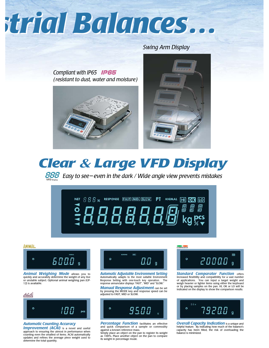# *strial Balances… strial Balances…*

*Swing Arm Display*

*Compliant with IP65 ( resistant to dust, water and moisture)*







*EEE* Easy to see–even in the dark / Wide angle view prevents mistakes



#### **ANIMAL**



*Animal Weighing Mode* allows you to quickly and accurately determine the weight of any live or unstable subject. Optional animal weighing pan (GP-12) is available.



#### *Automatic Counting Accuracy*

**Improvement (ACAI)** is a novel and useful approach to ensuring the utmost in performance when counting even the smallest of items. ACAI automatically updates and refines the average piece weight used to determine the total quantity.



*Automatic Adjustable Environment Setting* Automatically adapts to the most suitable Environment Response Setting with one-touch key operation. The response annunciator displays "FAST", "MID" and "SLOW."

*Manual Response Adjustment* can be set by pressing the MODE key and response speed can be adjusted to FAST, MID or SLOW.



*Percentage Function* facilitates an effective and quick comparison of a sample or commodity against a known reference mass.

Simply place an object on the pan to register its weight as 100%. Place another object on the pan to compare its weight in percentage mode.

#### COMPARATOR

20000  $\circ$ 

**Standard Comparator Function offers** increased flexibility and compatibility for a vast number of applications. You can input a target weight and weigh heavier or lighter items using either the keyboard or by placing samples on the pan. HI, OK or LO will be indicated on the display to show the comparison results.



*Overall Capacity Indication* is a unique and helpful feature. By indicating how much of the balance's capacity has been filled, the risk of overloading the balance is minimized.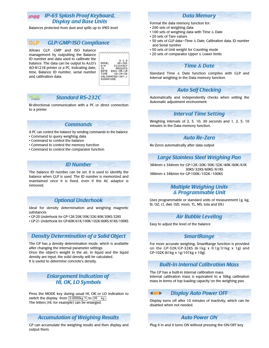#### *IP-65 Splash Proof Keyboard, Display and Base Units*

Balances protected from dust and spills up to IP65 level

#### *GLP/GMP/ISO Compliance* GLP.

Allows GLP, GMP and ISO balance management by outputting the Balance ID number and data used to calibrate the balance. The data can be output to A&D's AD-8121B printer or a PC, indicating date, time, Balance ID number, serial number and calibration data.

| 10DEL -   | $GP-30K$         |
|-----------|------------------|
| 5/N       | 01234567         |
| ID        | <b>ABCDEFG</b>   |
| DATE      | 2001/05/15       |
| TIME      | 12:34:56         |
|           | CALIBRATED(INT.) |
| SIGNATURE |                  |

**\^^^^^^^^^^^^^^** 

#### **RS** 232C

#### *Standard RS-232C*

Bi-directional communication with a PC or direct connection to a printer

#### *Commands*

A PC can control the balance by sending commands to the balance.

- Command to query weighing data
- Command to control the balance
- Command to control the memory function
- Command to control the comparator function

#### *ID Number*

The balance ID number can be set. It is used to identify the balance when GLP is used. The ID number is memorized and maintained once it is fixed, even if the AC adaptor is removed.

#### *Optional Underhook*

Ideal for density determination and weighing magnetic substances

• GP-20 Underhook for GP-12K/20K/30K/32K/40K/30KS/32KS

• GP-21 Underhook for GP-60K/61K/100K/102K/60KS/61KS/100KS

#### *Density Determination of a Solid Object*

The GP has a density determination mode, which is available after changing the internal parameter settings.

Once the object's weight in the air, in liquid and the liquid density are input, the solid density will be calculated. It is useful to determine concrete's density.

#### *Enlargement Indication of HI, OK, LO Symbols*

Press the MODE key during usual HI, OK or LO indication to switch the display from  $\boxed{3.0000 \text{kg H}}$  to  $\boxed{\text{H}}$  kg The letters (HI, for example) can be enlarged.

#### *Accumulation of Weighing Results*

GP can accumulate the weighing results and then display and output them.

#### *Data Memory*

Format the data memory function for:

- 200 sets of weighing data
- 100 sets of weighing data with Time & Date
- 20 sets of Tare values
- 50 sets of GLP data—Time & Date, Calibration data, ID number and Serial number
- 50 sets of Unit weight for Counting mode
- 20 sets of comparator Upper & Lower limits

#### *Time* **&** *Date*

Standard Time & Date function complies with GLP and Interval weighing in the Data memory function.

#### *Auto Self Checking*

Automatically and independently checks when setting the Automatic adjustment environment.

#### *Interval Time Setting*

Weighing intervals of 2, 5, 10, 30 seconds and 1, 2, 5, 10 minutes in the Data memory function.

#### *Auto Re-Zero*

Re-Zeros automatically after data output

#### *Large Stainless Steel Weighing Pan*

384mm x 344mm for GP-12K/20K/30K/32K/40K/60K/61K 30KS/32KS/60KS/61KS 386mm x 346mm for GP-100K/102K /100KS

#### *Multiple Weighing Units* **&** *Programmable Unit*

Uses programmable or standard units of measurement (g, kg, lb, OZ, ct, dwt, OZt, mom, TL, MS, tola and DS )

#### *Air Bubble Leveling*

Easy to adjust the level of the balance

#### *SmartRange*

For more accurate weighing, SmartRange function is provided on the GP-32K/GP-32KS (6.1kg  $x$  0.1g/31kg  $x$  1g) and GP-102K (61kg x 1g/101kg x 10g).

#### *Built-In Internal Calibration Mass*

The GP has a built-in internal calibration mass. Internal calibration mass is equivalent to a 50kg calibration mass in terms of top loading capacity on the weighing pan.

#### *Display Auto Power OFF* **40FF**

Display turns off after 10 minutes of inactivity, which can be disabled when not needed.

#### *Auto Power ON*

Plug it in and it turns ON without pressing the ON/OFF key.